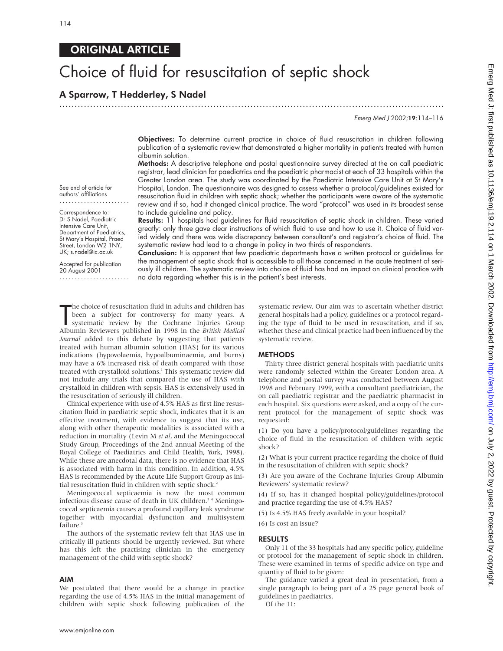# ORIGINAL ARTICLE

# Choice of fluid for resuscitation of septic shock

## A Sparrow, T Hedderley, S Nadel

.............................................................................................................................

Emerg Med <sup>J</sup> 2002;19:114–116

Objectives: To determine current practice in choice of fluid resuscitation in children following publication of a systematic review that demonstrated a higher mortality in patients treated with human albumin solution.

Methods: A descriptive telephone and postal questionnaire survey directed at the on call paediatric registrar, lead clinician for paediatrics and the paediatric pharmacist at each of 33 hospitals within the Greater London area. The study was coordinated by the Paediatric Intensive Care Unit at St Mary's Hospital, London. The questionnaire was designed to assess whether a protocol/guidelines existed for resuscitation fluid in children with septic shock; whether the participants were aware of the systematic review and if so, had it changed clinical practice. The word "protocol" was used in its broadest sense to include guideline and policy.

Results: 11 hospitals had guidelines for fluid resuscitation of septic shock in children. These varied greatly: only three gave clear instructions of which fluid to use and how to use it. Choice of fluid varied widely and there was wide discrepancy between consultant's and registrar's choice of fluid. The systematic review had lead to a change in policy in two thirds of respondents.

Conclusion: It is apparent that few paediatric departments have a written protocol or guidelines for the management of septic shock that is accessible to all those concerned in the acute treatment of seriously ill children. The systematic review into choice of fluid has had an impact on clinical practice with no data regarding whether this is in the patient's best interests.

The choice of resuscitation fluid in adults and children has<br>been a subject for controversy for many years. A<br>systematic review by the Cochrane Injuries Group<br>Albumin Reviewers published in 1998 in the *British Medical* he choice of resuscitation fluid in adults and children has been a subject for controversy for many years. A systematic review by the Cochrane Injuries Group *Journal* added to this debate by suggesting that patients treated with human albumin solution (HAS) for its various indications (hypovolaemia, hypoalbuminaemia, and burns) may have a 6% increased risk of death compared with those treated with crystalloid solutions.<sup>1</sup> This systematic review did not include any trials that compared the use of HAS with crystalloid in children with sepsis. HAS is extensively used in the resuscitation of seriously ill children.

Clinical experience with use of 4.5% HAS as first line resuscitation fluid in paediatric septic shock, indicates that it is an effective treatment, with evidence to suggest that its use, along with other therapeutic modalities is associated with a reduction in mortality (Levin M *et al*, and the Meningococcal Study Group, Proceedings of the 2nd annual Meeting of the Royal College of Paediatrics and Child Health, York, 1998). While these are anecdotal data, there is no evidence that HAS is associated with harm in this condition. In addition, 4.5% HAS is recommended by the Acute Life Support Group as initial resuscitation fluid in children with septic shock.<sup>2</sup>

Meningococcal septicaemia is now the most common infectious disease cause of death in UK children.<sup>34</sup> Meningococcal septicaemia causes a profound capillary leak syndrome together with myocardial dysfunction and multisystem failure.<sup>5</sup>

The authors of the systematic review felt that HAS use in critically ill patients should be urgently reviewed. But where has this left the practising clinician in the emergency management of the child with septic shock?

#### AIM

We postulated that there would be a change in practice regarding the use of 4.5% HAS in the initial management of children with septic shock following publication of the

systematic review. Our aim was to ascertain whether district general hospitals had a policy, guidelines or a protocol regarding the type of fluid to be used in resuscitation, and if so, whether these and clinical practice had been influenced by the systematic review.

#### METHODS

Thirty three district general hospitals with paediatric units were randomly selected within the Greater London area. A telephone and postal survey was conducted between August 1998 and February 1999, with a consultant paediatrician, the on call paediatric registrar and the paediatric pharmacist in each hospital. Six questions were asked, and a copy of the current protocol for the management of septic shock was requested:

(1) Do you have a policy/protocol/guidelines regarding the choice of fluid in the resuscitation of children with septic shock?

(2) What is your current practice regarding the choice of fluid in the resuscitation of children with septic shock?

(3) Are you aware of the Cochrane Injuries Group Albumin Reviewers' systematic review?

(4) If so, has it changed hospital policy/guidelines/protocol and practice regarding the use of 4.5% HAS?

(5) Is 4.5% HAS freely available in your hospital?

(6) Is cost an issue?

### RESULTS

Only 11 of the 33 hospitals had any specific policy, guideline or protocol for the management of septic shock in children. These were examined in terms of specific advice on type and quantity of fluid to be given:

The guidance varied a great deal in presentation, from a single paragraph to being part of a 25 page general book of guidelines in paediatrics.

Of the 11:

See end of article for authors' affiliations .......................

Correspondence to: Dr S Nadel, Paediatric Intensive Care Unit, Department of Paediatrics, St Mary's Hospital, Praed Street, London W2 1NY, UK; s.nadel@ic.ac.uk

Accepted for publication 20 August 2001

.......................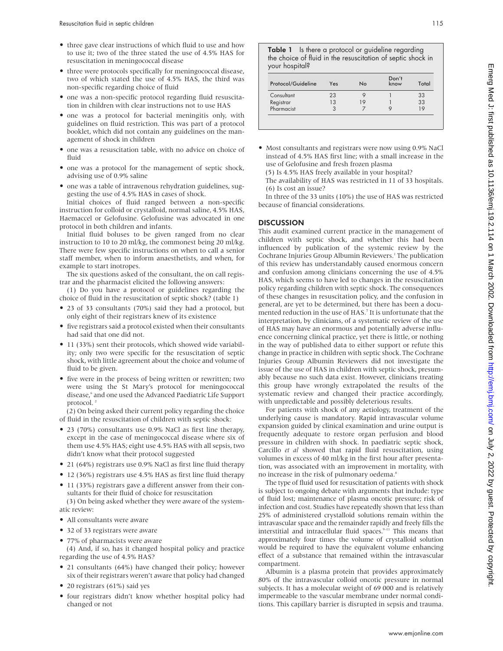- three gave clear instructions of which fluid to use and how to use it; two of the three stated the use of 4.5% HAS for resuscitation in meningococcal disease
- three were protocols specifically for meningococcal disease, two of which stated the use of 4.5% HAS, the third was non-specific regarding choice of fluid
- one was a non-specific protocol regarding fluid resuscitation in children with clear instructions not to use HAS
- one was a protocol for bacterial meningitis only, with guidelines on fluid restriction. This was part of a protocol booklet, which did not contain any guidelines on the management of shock in children
- one was a resuscitation table, with no advice on choice of fluid
- one was a protocol for the management of septic shock, advising use of 0.9% saline
- one was a table of intravenous rehydration guidelines, suggesting the use of 4.5% HAS in cases of shock.

Initial choices of fluid ranged between a non-specific instruction for colloid or crystalloid, normal saline, 4.5% HAS, Haemaccel or Gelofusine. Gelofusine was advocated in one protocol in both children and infants.

Initial fluid boluses to be given ranged from no clear instruction to 10 to 20 ml/kg, the commonest being 20 ml/kg. There were few specific instructions on when to call a senior staff member, when to inform anaesthetists, and when, for example to start inotropes.

The six questions asked of the consultant, the on call registrar and the pharmacist elicited the following answers:

(1) Do you have a protocol or guidelines regarding the choice of fluid in the resuscitation of septic shock? (table 1)

- 23 of 33 consultants (70%) said they had a protocol, but only eight of their registrars knew of its existence
- five registrars said a protocol existed when their consultants had said that one did not.
- 11 (33%) sent their protocols, which showed wide variability; only two were specific for the resuscitation of septic shock, with little agreement about the choice and volume of fluid to be given.
- five were in the process of being written or rewritten; two were using the St Mary's protocol for meningococcal disease,<sup>6</sup> and one used the Advanced Paediatric Life Support protocol.<sup>2</sup>

(2) On being asked their current policy regarding the choice of fluid in the resuscitation of children with septic shock:

- 23 (70%) consultants use 0.9% NaCl as first line therapy, except in the case of meningococcal disease where six of them use 4.5% HAS; eight use 4.5% HAS with all sepsis, two didn't know what their protocol suggested
- 21 (64%) registrars use 0.9% NaCl as first line fluid therapy
- 12 (36%) registrars use 4.5% HAS as first line fluid therapy
- 11 (33%) registrars gave a different answer from their consultants for their fluid of choice for resuscitation

(3) On being asked whether they were aware of the systematic review:

- All consultants were aware
- 32 of 33 registrars were aware
- 77% of pharmacists were aware

(4) And, if so, has it changed hospital policy and practice regarding the use of 4.5% HAS?

- 21 consultants (64%) have changed their policy; however six of their registrars weren't aware that policy had changed
- 20 registrars (61%) said yes
- four registrars didn't know whether hospital policy had changed or not

Table 1 Is there a protocol or guideline regarding the choice of fluid in the resuscitation of septic shock in your hospital?

| Protocol/Guideline | Yes | No | Don't<br>know | Total |
|--------------------|-----|----|---------------|-------|
| Consultant         | 23  |    |               | 33    |
| Registrar          | 13  | 19 |               | 33    |
| Pharmacist         | 3   |    |               | 19    |

• Most consultants and registrars were now using 0.9% NaCl instead of 4.5% HAS first line; with a small increase in the use of Gelofusine and fresh frozen plasma

(5) Is 4.5% HAS freely available in your hospital?

The availability of HAS was restricted in 11 of 33 hospitals. (6) Is cost an issue?

In three of the 33 units (10%) the use of HAS was restricted because of financial considerations.

#### **DISCUSSION**

This audit examined current practice in the management of children with septic shock, and whether this had been influenced by publication of the systemic review by the Cochrane Injuries Group Albumin Reviewers.<sup>1</sup> The publication of this review has understandably caused enormous concern and confusion among clinicians concerning the use of 4.5% HAS, which seems to have led to changes in the resuscitation policy regarding children with septic shock. The consequences of these changes in resuscitation policy, and the confusion in general, are yet to be determined, but there has been a documented reduction in the use of HAS.<sup>7</sup> It is unfortunate that the interpretation, by clinicians, of a systematic review of the use of HAS may have an enormous and potentially adverse influence concerning clinical practice, yet there is little, or nothing in the way of published data to either support or refute this change in practice in children with septic shock. The Cochrane Injuries Group Albumin Reviewers did not investigate the issue of the use of HAS in children with septic shock, presumably because no such data exist. However, clinicians treating this group have wrongly extrapolated the results of the systematic review and changed their practice accordingly, with unpredictable and possibly deleterious results.

For patients with shock of any aetiology, treatment of the underlying cause is mandatory. Rapid intravascular volume expansion guided by clinical examination and urine output is frequently adequate to restore organ perfusion and blood pressure in children with shock. In paediatric septic shock, Carcillo *et al* showed that rapid fluid resuscitation, using volumes in excess of 40 ml/kg in the first hour after presentation, was associated with an improvement in mortality, with no increase in the risk of pulmonary oedema.<sup>8</sup>

The type of fluid used for resuscitation of patients with shock is subject to ongoing debate with arguments that include: type of fluid lost; maintenance of plasma oncotic pressure; risk of infection and cost. Studies have repeatedly shown that less than 25% of administered crystalloid solutions remain within the intravascular space and the remainder rapidly and freely fills the interstitial and intracellular fluid spaces. $9-11$  This means that approximately four times the volume of crystalloid solution would be required to have the equivalent volume enhancing effect of a substance that remained within the intravascular compartment.

Albumin is a plasma protein that provides approximately 80% of the intravascular colloid oncotic pressure in normal subjects. It has a molecular weight of 69 000 and is relatively impermeable to the vascular membrane under normal conditions. This capillary barrier is disrupted in sepsis and trauma.